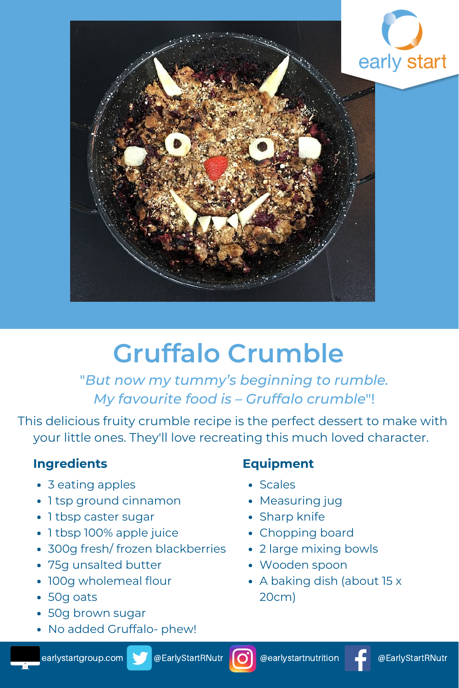

# **Gruffalo Crumble**

"*But now my tummy's beginning to rumble. My favourite food is – Gruffalo crumble*"!

This delicious fruity crumble recipe is the perfect dessert to make with your little ones. They'll love recreating this much loved character.

## **Ingredients**

- 3 eating apples
- 1 tsp ground cinnamon
- 1 tbsp caster sugar
- 1 tbsp 100% apple juice
- 300g fresh/ frozen blackberries
- 75g unsalted butter
- 100g wholemeal flour
- 50g oats
- 50g brown sugar
- No added Gruffalo- phew!

## **Equipment**

- Scales
- Measuring jug
- Sharp knife
- Chopping board
- 2 large mixing bowls
- Wooden spoon
- A baking dish (about 15 x 20cm)